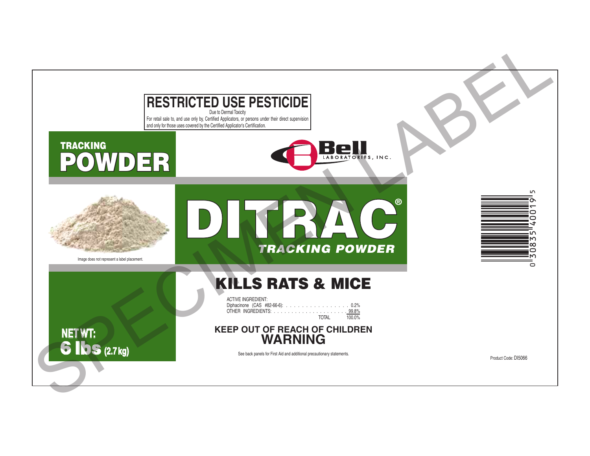